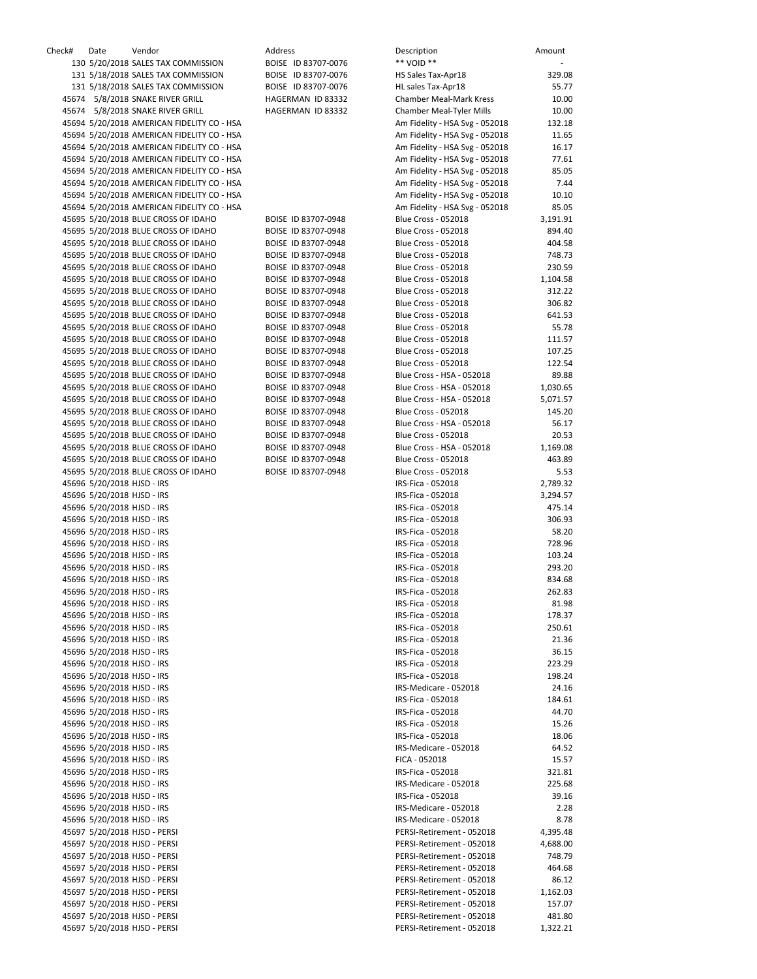| Check# | Date                       | Vendor                                     | Address             | Description                    | Amount   |
|--------|----------------------------|--------------------------------------------|---------------------|--------------------------------|----------|
|        |                            | 130 5/20/2018 SALES TAX COMMISSION         | BOISE ID 83707-0076 | ** VOID **                     |          |
|        |                            | 131 5/18/2018 SALES TAX COMMISSION         | BOISE ID 83707-0076 | HS Sales Tax-Apr18             | 329.08   |
|        |                            | 131 5/18/2018 SALES TAX COMMISSION         | BOISE ID 83707-0076 | HL sales Tax-Apr18             | 55.77    |
|        |                            | 45674 5/8/2018 SNAKE RIVER GRILL           | HAGERMAN ID 83332   | <b>Chamber Meal-Mark Kress</b> | 10.00    |
|        |                            | 45674 5/8/2018 SNAKE RIVER GRILL           | HAGERMAN ID 83332   | Chamber Meal-Tyler Mills       | 10.00    |
|        |                            | 45694 5/20/2018 AMERICAN FIDELITY CO - HSA |                     | Am Fidelity - HSA Svg - 052018 | 132.18   |
|        |                            | 45694 5/20/2018 AMERICAN FIDELITY CO - HSA |                     | Am Fidelity - HSA Svg - 052018 | 11.65    |
|        |                            | 45694 5/20/2018 AMERICAN FIDELITY CO - HSA |                     | Am Fidelity - HSA Svg - 052018 | 16.17    |
|        |                            | 45694 5/20/2018 AMERICAN FIDELITY CO - HSA |                     | Am Fidelity - HSA Svg - 052018 | 77.61    |
|        |                            | 45694 5/20/2018 AMERICAN FIDELITY CO - HSA |                     | Am Fidelity - HSA Svg - 052018 | 85.05    |
|        |                            | 45694 5/20/2018 AMERICAN FIDELITY CO - HSA |                     | Am Fidelity - HSA Svg - 052018 | 7.44     |
|        |                            | 45694 5/20/2018 AMERICAN FIDELITY CO - HSA |                     | Am Fidelity - HSA Svg - 052018 | 10.10    |
|        |                            | 45694 5/20/2018 AMERICAN FIDELITY CO - HSA |                     | Am Fidelity - HSA Svg - 052018 | 85.05    |
|        |                            | 45695 5/20/2018 BLUE CROSS OF IDAHO        | BOISE ID 83707-0948 | <b>Blue Cross - 052018</b>     | 3,191.91 |
|        |                            | 45695 5/20/2018 BLUE CROSS OF IDAHO        | BOISE ID 83707-0948 | <b>Blue Cross - 052018</b>     | 894.40   |
|        |                            | 45695 5/20/2018 BLUE CROSS OF IDAHO        | BOISE ID 83707-0948 | <b>Blue Cross - 052018</b>     | 404.58   |
|        |                            | 45695 5/20/2018 BLUE CROSS OF IDAHO        | BOISE ID 83707-0948 | <b>Blue Cross - 052018</b>     | 748.73   |
|        |                            | 45695 5/20/2018 BLUE CROSS OF IDAHO        | BOISE ID 83707-0948 | <b>Blue Cross - 052018</b>     | 230.59   |
|        |                            | 45695 5/20/2018 BLUE CROSS OF IDAHO        | BOISE ID 83707-0948 | <b>Blue Cross - 052018</b>     | 1,104.58 |
|        |                            | 45695 5/20/2018 BLUE CROSS OF IDAHO        | BOISE ID 83707-0948 | <b>Blue Cross - 052018</b>     | 312.22   |
|        |                            | 45695 5/20/2018 BLUE CROSS OF IDAHO        | BOISE ID 83707-0948 | <b>Blue Cross - 052018</b>     | 306.82   |
|        |                            | 45695 5/20/2018 BLUE CROSS OF IDAHO        | BOISE ID 83707-0948 | <b>Blue Cross - 052018</b>     | 641.53   |
|        |                            | 45695 5/20/2018 BLUE CROSS OF IDAHO        | BOISE ID 83707-0948 | <b>Blue Cross - 052018</b>     | 55.78    |
|        |                            | 45695 5/20/2018 BLUE CROSS OF IDAHO        | BOISE ID 83707-0948 | <b>Blue Cross - 052018</b>     | 111.57   |
|        |                            | 45695 5/20/2018 BLUE CROSS OF IDAHO        | BOISE ID 83707-0948 | <b>Blue Cross - 052018</b>     | 107.25   |
|        |                            | 45695 5/20/2018 BLUE CROSS OF IDAHO        | BOISE ID 83707-0948 | <b>Blue Cross - 052018</b>     | 122.54   |
|        |                            | 45695 5/20/2018 BLUE CROSS OF IDAHO        | BOISE ID 83707-0948 | Blue Cross - HSA - 052018      | 89.88    |
|        |                            | 45695 5/20/2018 BLUE CROSS OF IDAHO        | BOISE ID 83707-0948 | Blue Cross - HSA - 052018      | 1,030.65 |
|        |                            | 45695 5/20/2018 BLUE CROSS OF IDAHO        | BOISE ID 83707-0948 | Blue Cross - HSA - 052018      | 5,071.57 |
|        |                            | 45695 5/20/2018 BLUE CROSS OF IDAHO        | BOISE ID 83707-0948 | <b>Blue Cross - 052018</b>     | 145.20   |
|        |                            | 45695 5/20/2018 BLUE CROSS OF IDAHO        | BOISE ID 83707-0948 | Blue Cross - HSA - 052018      | 56.17    |
|        |                            | 45695 5/20/2018 BLUE CROSS OF IDAHO        | BOISE ID 83707-0948 | <b>Blue Cross - 052018</b>     | 20.53    |
|        |                            | 45695 5/20/2018 BLUE CROSS OF IDAHO        | BOISE ID 83707-0948 | Blue Cross - HSA - 052018      | 1,169.08 |
|        |                            | 45695 5/20/2018 BLUE CROSS OF IDAHO        | BOISE ID 83707-0948 | <b>Blue Cross - 052018</b>     | 463.89   |
|        |                            | 45695 5/20/2018 BLUE CROSS OF IDAHO        | BOISE ID 83707-0948 | <b>Blue Cross - 052018</b>     | 5.53     |
|        | 45696 5/20/2018 HJSD - IRS |                                            |                     | IRS-Fica - 052018              | 2,789.32 |
|        | 45696 5/20/2018 HJSD - IRS |                                            |                     | IRS-Fica - 052018              | 3,294.57 |
|        | 45696 5/20/2018 HJSD - IRS |                                            |                     | IRS-Fica - 052018              | 475.14   |
|        | 45696 5/20/2018 HJSD - IRS |                                            |                     | IRS-Fica - 052018              | 306.93   |
|        | 45696 5/20/2018 HJSD - IRS |                                            |                     | IRS-Fica - 052018              | 58.20    |
|        | 45696 5/20/2018 HJSD - IRS |                                            |                     | IRS-Fica - 052018              | 728.96   |
|        | 45696 5/20/2018 HJSD - IRS |                                            |                     | IRS-Fica - 052018              | 103.24   |
|        | 45696 5/20/2018 HJSD - IRS |                                            |                     | IRS-Fica - 052018              | 293.20   |
|        | 45696 5/20/2018 HJSD - IRS |                                            |                     | IRS-Fica - 052018              | 834.68   |
|        | 45696 5/20/2018 HJSD - IRS |                                            |                     | IRS-Fica - 052018              | 262.83   |
|        | 45696 5/20/2018 HJSD - IRS |                                            |                     | IRS-Fica - 052018              | 81.98    |
|        | 45696 5/20/2018 HJSD - IRS |                                            |                     | IRS-Fica - 052018              | 178.37   |
|        | 45696 5/20/2018 HJSD - IRS |                                            |                     | IRS-Fica - 052018              | 250.61   |
|        | 45696 5/20/2018 HJSD - IRS |                                            |                     | IRS-Fica - 052018              | 21.36    |
|        | 45696 5/20/2018 HJSD - IRS |                                            |                     | IRS-Fica - 052018              | 36.15    |
|        | 45696 5/20/2018 HJSD - IRS |                                            |                     | IRS-Fica - 052018              | 223.29   |
|        | 45696 5/20/2018 HJSD - IRS |                                            |                     | IRS-Fica - 052018              | 198.24   |
|        | 45696 5/20/2018 HJSD - IRS |                                            |                     | IRS-Medicare - 052018          | 24.16    |
|        | 45696 5/20/2018 HJSD - IRS |                                            |                     | IRS-Fica - 052018              | 184.61   |
|        | 45696 5/20/2018 HJSD - IRS |                                            |                     | IRS-Fica - 052018              | 44.70    |
|        | 45696 5/20/2018 HJSD - IRS |                                            |                     | IRS-Fica - 052018              | 15.26    |
|        | 45696 5/20/2018 HJSD - IRS |                                            |                     | IRS-Fica - 052018              | 18.06    |
|        | 45696 5/20/2018 HJSD - IRS |                                            |                     | IRS-Medicare - 052018          | 64.52    |
|        | 45696 5/20/2018 HJSD - IRS |                                            |                     | FICA - 052018                  | 15.57    |
|        | 45696 5/20/2018 HJSD - IRS |                                            |                     | IRS-Fica - 052018              | 321.81   |
|        | 45696 5/20/2018 HJSD - IRS |                                            |                     | IRS-Medicare - 052018          | 225.68   |
|        | 45696 5/20/2018 HJSD - IRS |                                            |                     | IRS-Fica - 052018              | 39.16    |
|        | 45696 5/20/2018 HJSD - IRS |                                            |                     | IRS-Medicare - 052018          | 2.28     |
|        | 45696 5/20/2018 HJSD - IRS |                                            |                     | IRS-Medicare - 052018          | 8.78     |
|        |                            | 45697 5/20/2018 HJSD - PERSI               |                     | PERSI-Retirement - 052018      | 4,395.48 |
|        |                            | 45697 5/20/2018 HJSD - PERSI               |                     | PERSI-Retirement - 052018      | 4,688.00 |
|        |                            | 45697 5/20/2018 HJSD - PERSI               |                     | PERSI-Retirement - 052018      | 748.79   |
|        |                            | 45697 5/20/2018 HJSD - PERSI               |                     | PERSI-Retirement - 052018      | 464.68   |
|        |                            | 45697 5/20/2018 HJSD - PERSI               |                     | PERSI-Retirement - 052018      | 86.12    |
|        |                            | 45697 5/20/2018 HJSD - PERSI               |                     | PERSI-Retirement - 052018      | 1,162.03 |
|        |                            | 45697 5/20/2018 HJSD - PERSI               |                     | PERSI-Retirement - 052018      | 157.07   |
|        |                            | 45697 5/20/2018 HJSD - PERSI               |                     | PERSI-Retirement - 052018      | 481.80   |
|        |                            | 45697 5/20/2018 HJSD - PERSI               |                     | PERSI-Retirement - 052018      | 1,322.21 |
|        |                            |                                            |                     |                                |          |

| Address               | BOISE ID 83707-0076<br>BOISE ID 83707-0076<br>BOISE ID 83707-0076<br>HAGERMAN ID 83332<br>HAGERMAN ID 83332 |
|-----------------------|-------------------------------------------------------------------------------------------------------------|
|                       |                                                                                                             |
|                       |                                                                                                             |
|                       |                                                                                                             |
|                       |                                                                                                             |
|                       |                                                                                                             |
|                       | BOISE ID 83707-0948                                                                                         |
|                       | BOISE ID 83707-0948                                                                                         |
|                       | BOISE ID 83707-0948                                                                                         |
|                       | BOISE ID 83707-0948                                                                                         |
|                       | BOISE ID 83707-0948                                                                                         |
| <b>BOISE</b>          | ID 83707-0948                                                                                               |
| <b>BOISE</b>          | ID 83707-0948                                                                                               |
| <b>BOISE</b>          | ID 83707-0948                                                                                               |
| <b>BOISE</b>          | ID 83707-0948                                                                                               |
| <b>BOISE</b>          | ID 83707-0948                                                                                               |
| <b>BOISE</b>          | ID 83707-0948                                                                                               |
| BOISE                 | ID 83707-0948                                                                                               |
| BOISE                 | ID 83707-0948                                                                                               |
| <b>BOISE</b>          | ID 83707-0948                                                                                               |
| BOISE                 | ID 83707-0948                                                                                               |
| <b>BOISE</b><br>BOISE | ID 83707-0948                                                                                               |
| BOISE                 | ID 83707-0948<br>ID 83707-0948                                                                              |
| BOISE                 | ID 83707-0948                                                                                               |
| <b>BOISE</b>          | ID 83707-0948                                                                                               |
| <b>BOISE</b>          | ID 83707-0948                                                                                               |
|                       |                                                                                                             |
| BOISE                 | ID 83707-0948                                                                                               |

| ck# | Date                                                     | Vendor                                                                     | Address                                    | Description<br>** VOID **                              | Amount          |
|-----|----------------------------------------------------------|----------------------------------------------------------------------------|--------------------------------------------|--------------------------------------------------------|-----------------|
|     |                                                          | 130 5/20/2018 SALES TAX COMMISSION                                         | BOISE ID 83707-0076                        |                                                        |                 |
|     |                                                          | 131 5/18/2018 SALES TAX COMMISSION<br>131 5/18/2018 SALES TAX COMMISSION   | BOISE ID 83707-0076<br>BOISE ID 83707-0076 | HS Sales Tax-Apr18<br>HL sales Tax-Apr18               | 329.08<br>55.77 |
|     |                                                          | 45674 5/8/2018 SNAKE RIVER GRILL                                           | HAGERMAN ID 83332                          | <b>Chamber Meal-Mark Kress</b>                         | 10.00           |
|     |                                                          | 45674 5/8/2018 SNAKE RIVER GRILL                                           | HAGERMAN ID 83332                          | Chamber Meal-Tyler Mills                               | 10.00           |
|     |                                                          | 45694 5/20/2018 AMERICAN FIDELITY CO - HSA                                 |                                            | Am Fidelity - HSA Svg - 052018                         | 132.18          |
|     |                                                          | 45694 5/20/2018 AMERICAN FIDELITY CO - HSA                                 |                                            | Am Fidelity - HSA Svg - 052018                         | 11.65           |
|     |                                                          | 45694 5/20/2018 AMERICAN FIDELITY CO - HSA                                 |                                            | Am Fidelity - HSA Svg - 052018                         | 16.17           |
|     |                                                          | 45694 5/20/2018 AMERICAN FIDELITY CO - HSA                                 |                                            | Am Fidelity - HSA Svg - 052018                         | 77.61           |
|     |                                                          | 45694 5/20/2018 AMERICAN FIDELITY CO - HSA                                 |                                            | Am Fidelity - HSA Svg - 052018                         | 85.05           |
|     |                                                          | 45694 5/20/2018 AMERICAN FIDELITY CO - HSA                                 |                                            | Am Fidelity - HSA Svg - 052018                         | 7.44            |
|     |                                                          | 45694 5/20/2018 AMERICAN FIDELITY CO - HSA                                 |                                            | Am Fidelity - HSA Svg - 052018                         | 10.10           |
|     |                                                          | 45694 5/20/2018 AMERICAN FIDELITY CO - HSA                                 |                                            | Am Fidelity - HSA Svg - 052018                         | 85.05           |
|     |                                                          | 45695 5/20/2018 BLUE CROSS OF IDAHO                                        | BOISE ID 83707-0948                        | <b>Blue Cross - 052018</b>                             | 3,191.91        |
|     |                                                          | 45695 5/20/2018 BLUE CROSS OF IDAHO                                        | BOISE ID 83707-0948                        | <b>Blue Cross - 052018</b>                             | 894.40          |
|     |                                                          | 45695 5/20/2018 BLUE CROSS OF IDAHO                                        | BOISE ID 83707-0948                        | <b>Blue Cross - 052018</b>                             | 404.58          |
|     |                                                          | 45695 5/20/2018 BLUE CROSS OF IDAHO                                        | BOISE ID 83707-0948                        | <b>Blue Cross - 052018</b>                             | 748.73          |
|     |                                                          | 45695 5/20/2018 BLUE CROSS OF IDAHO                                        | BOISE ID 83707-0948                        | <b>Blue Cross - 052018</b>                             | 230.59          |
|     |                                                          | 45695 5/20/2018 BLUE CROSS OF IDAHO                                        | BOISE ID 83707-0948                        | <b>Blue Cross - 052018</b>                             | 1,104.58        |
|     |                                                          | 45695 5/20/2018 BLUE CROSS OF IDAHO                                        | BOISE ID 83707-0948                        | <b>Blue Cross - 052018</b>                             | 312.22          |
|     |                                                          | 45695 5/20/2018 BLUE CROSS OF IDAHO                                        | BOISE ID 83707-0948                        | <b>Blue Cross - 052018</b>                             | 306.82          |
|     |                                                          | 45695 5/20/2018 BLUE CROSS OF IDAHO                                        | BOISE ID 83707-0948                        | <b>Blue Cross - 052018</b>                             | 641.53          |
|     |                                                          | 45695 5/20/2018 BLUE CROSS OF IDAHO                                        | BOISE ID 83707-0948                        | <b>Blue Cross - 052018</b>                             | 55.78           |
|     |                                                          | 45695 5/20/2018 BLUE CROSS OF IDAHO                                        | BOISE ID 83707-0948                        | <b>Blue Cross - 052018</b>                             | 111.57          |
|     |                                                          | 45695 5/20/2018 BLUE CROSS OF IDAHO                                        | BOISE ID 83707-0948                        | <b>Blue Cross - 052018</b>                             | 107.25          |
|     |                                                          | 45695 5/20/2018 BLUE CROSS OF IDAHO                                        | BOISE ID 83707-0948                        | <b>Blue Cross - 052018</b>                             | 122.54<br>89.88 |
|     |                                                          | 45695 5/20/2018 BLUE CROSS OF IDAHO<br>45695 5/20/2018 BLUE CROSS OF IDAHO | BOISE ID 83707-0948<br>BOISE ID 83707-0948 | Blue Cross - HSA - 052018<br>Blue Cross - HSA - 052018 | 1,030.65        |
|     |                                                          | 45695 5/20/2018 BLUE CROSS OF IDAHO                                        | BOISE ID 83707-0948                        | Blue Cross - HSA - 052018                              | 5,071.57        |
|     |                                                          | 45695 5/20/2018 BLUE CROSS OF IDAHO                                        | BOISE ID 83707-0948                        | <b>Blue Cross - 052018</b>                             | 145.20          |
|     |                                                          | 45695 5/20/2018 BLUE CROSS OF IDAHO                                        | BOISE ID 83707-0948                        | Blue Cross - HSA - 052018                              | 56.17           |
|     |                                                          | 45695 5/20/2018 BLUE CROSS OF IDAHO                                        | BOISE ID 83707-0948                        | <b>Blue Cross - 052018</b>                             | 20.53           |
|     |                                                          | 45695 5/20/2018 BLUE CROSS OF IDAHO                                        | BOISE ID 83707-0948                        | Blue Cross - HSA - 052018                              | 1,169.08        |
|     |                                                          | 45695 5/20/2018 BLUE CROSS OF IDAHO                                        | BOISE ID 83707-0948                        | <b>Blue Cross - 052018</b>                             | 463.89          |
|     |                                                          | 45695 5/20/2018 BLUE CROSS OF IDAHO                                        | BOISE ID 83707-0948                        | <b>Blue Cross - 052018</b>                             | 5.53            |
|     | 45696 5/20/2018 HJSD - IRS                               |                                                                            |                                            | IRS-Fica - 052018                                      | 2,789.32        |
|     | 45696 5/20/2018 HJSD - IRS                               |                                                                            |                                            | IRS-Fica - 052018                                      | 3,294.57        |
|     | 45696 5/20/2018 HJSD - IRS                               |                                                                            |                                            | IRS-Fica - 052018                                      | 475.14          |
|     | 45696 5/20/2018 HJSD - IRS                               |                                                                            |                                            | IRS-Fica - 052018                                      | 306.93          |
|     | 45696 5/20/2018 HJSD - IRS                               |                                                                            |                                            | IRS-Fica - 052018                                      | 58.20           |
|     | 45696 5/20/2018 HJSD - IRS                               |                                                                            |                                            | IRS-Fica - 052018                                      | 728.96          |
|     | 45696 5/20/2018 HJSD - IRS                               |                                                                            |                                            | IRS-Fica - 052018                                      | 103.24          |
|     | 45696 5/20/2018 HJSD - IRS                               |                                                                            |                                            | IRS-Fica - 052018                                      | 293.20          |
|     | 45696 5/20/2018 HJSD - IRS                               |                                                                            |                                            | IRS-Fica - 052018                                      | 834.68          |
|     | 45696 5/20/2018 HJSD - IRS                               |                                                                            |                                            | IRS-Fica - 052018                                      | 262.83          |
|     | 45696 5/20/2018 HJSD - IRS                               |                                                                            |                                            | IRS-Fica - 052018                                      | 81.98           |
|     | 45696 5/20/2018 HJSD - IRS                               |                                                                            |                                            | IRS-Fica - 052018                                      | 178.37          |
|     | 45696 5/20/2018 HJSD - IRS                               |                                                                            |                                            | IRS-Fica - 052018                                      | 250.61          |
|     | 45696 5/20/2018 HJSD - IRS<br>45696 5/20/2018 HJSD - IRS |                                                                            |                                            | IRS-Fica - 052018<br>IRS-Fica - 052018                 | 21.36<br>36.15  |
|     | 45696 5/20/2018 HJSD - IRS                               |                                                                            |                                            | IRS-Fica - 052018                                      | 223.29          |
|     | 45696 5/20/2018 HJSD - IRS                               |                                                                            |                                            | IRS-Fica - 052018                                      | 198.24          |
|     | 45696 5/20/2018 HJSD - IRS                               |                                                                            |                                            | IRS-Medicare - 052018                                  | 24.16           |
|     | 45696 5/20/2018 HJSD - IRS                               |                                                                            |                                            | IRS-Fica - 052018                                      | 184.61          |
|     | 45696 5/20/2018 HJSD - IRS                               |                                                                            |                                            | IRS-Fica - 052018                                      | 44.70           |
|     | 45696 5/20/2018 HJSD - IRS                               |                                                                            |                                            | IRS-Fica - 052018                                      | 15.26           |
|     | 45696 5/20/2018 HJSD - IRS                               |                                                                            |                                            | IRS-Fica - 052018                                      | 18.06           |
|     | 45696 5/20/2018 HJSD - IRS                               |                                                                            |                                            | IRS-Medicare - 052018                                  | 64.52           |
|     | 45696 5/20/2018 HJSD - IRS                               |                                                                            |                                            | FICA - 052018                                          | 15.57           |
|     | 45696 5/20/2018 HJSD - IRS                               |                                                                            |                                            | IRS-Fica - 052018                                      | 321.81          |
|     | 45696 5/20/2018 HJSD - IRS                               |                                                                            |                                            | IRS-Medicare - 052018                                  | 225.68          |
|     | 45696 5/20/2018 HJSD - IRS                               |                                                                            |                                            | IRS-Fica - 052018                                      | 39.16           |
|     | 45696 5/20/2018 HJSD - IRS                               |                                                                            |                                            | IRS-Medicare - 052018                                  | 2.28            |
|     | 45696 5/20/2018 HJSD - IRS                               |                                                                            |                                            | IRS-Medicare - 052018                                  | 8.78            |
|     |                                                          | 45697 5/20/2018 HJSD - PERSI                                               |                                            | PERSI-Retirement - 052018                              | 4,395.48        |
|     |                                                          | 45697 5/20/2018 HJSD - PERSI                                               |                                            | PERSI-Retirement - 052018                              | 4,688.00        |
|     |                                                          | 45697 5/20/2018 HJSD - PERSI                                               |                                            | PERSI-Retirement - 052018                              | 748.79          |
|     |                                                          | 45697 5/20/2018 HJSD - PERSI                                               |                                            | PERSI-Retirement - 052018                              | 464.68          |
|     |                                                          | 45697 5/20/2018 HJSD - PERSI                                               |                                            | PERSI-Retirement - 052018                              | 86.12           |
|     |                                                          | 45697 5/20/2018 HJSD - PERSI                                               |                                            | PERSI-Retirement - 052018                              | 1,162.03        |
|     |                                                          | 45697 5/20/2018 HJSD - PERSI                                               |                                            | PERSI-Retirement - 052018                              | 157.07          |
|     |                                                          | 45697 5/20/2018 HJSD - PERSI                                               |                                            | PERSI-Retirement - 052018                              | 481.80          |
|     |                                                          | 45697 5/20/2018 HJSD - PERSI                                               |                                            | PERSI-Retirement - 052018                              | 1.322.21        |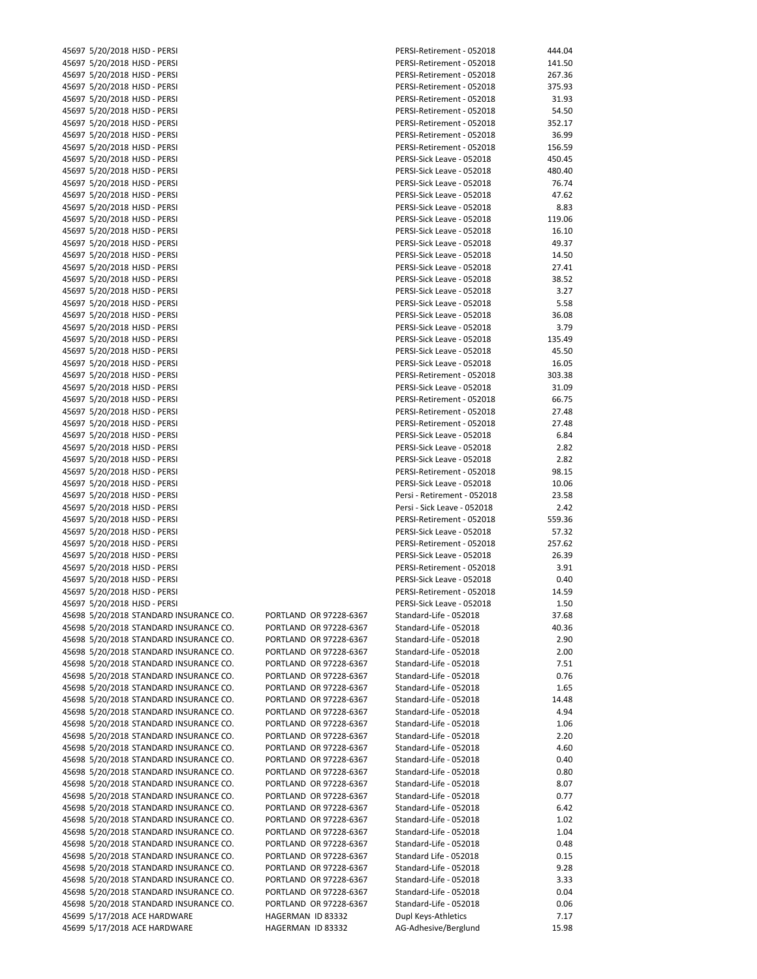|       | 45697 5/20/2018 HJSD - PERSI       |
|-------|------------------------------------|
|       | 45697 5/20/2018 HJSD - PERSI       |
|       | 45697 5/20/2018 HJSD - PERSI       |
|       | 45697 5/20/2018 HJSD - PERSI       |
|       | 45697 5/20/2018 HJSD - PERSI       |
|       | 45697 5/20/2018 HJSD - PERSI       |
|       | 45697 5/20/2018 HJSD - PERSI       |
|       |                                    |
|       | 45697 5/20/2018 HJSD - PERSI       |
|       | 45697 5/20/2018 HJSD - PERSI       |
|       | 45697 5/20/2018 HJSD - PERSI       |
|       | 45697 5/20/2018 HJSD - PERSI       |
|       | 45697 5/20/2018 HJSD - PERSI       |
|       | 45697 5/20/2018 HJSD - PERSI       |
|       | 45697 5/20/2018 HJSD - PERSI       |
|       | 45697 5/20/2018 HJSD - PERSI       |
|       | 45697 5/20/2018 HJSD - PERSI       |
|       | 45697 5/20/2018 HJSD - PERSI       |
|       | 45697 5/20/2018 HJSD - PERSI       |
|       | 45697 5/20/2018 HJSD - PERSI       |
|       | 45697 5/20/2018 HJSD - PERSI       |
|       | 45697 5/20/2018 HJSD - PERSI       |
|       | 45697 5/20/2018 HJSD - PERSI       |
|       | 45697 5/20/2018 HJSD - PERSI       |
|       | 45697 5/20/2018 HJSD - PERSI       |
|       | 45697 5/20/2018 HJSD - PERSI       |
|       |                                    |
|       | 45697 5/20/2018 HJSD - PERSI       |
|       | 45697 5/20/2018 HJSD - PERSI       |
|       | 45697 5/20/2018 HJSD - PERSI       |
|       | 45697 5/20/2018 HJSD - PERSI       |
|       | 45697 5/20/2018 HJSD - PERSI       |
|       | 45697 5/20/2018 HJSD - PERSI       |
|       | 45697 5/20/2018 HJSD - PERSI       |
|       | 45697 5/20/2018 HJSD - PERSI       |
|       | 45697 5/20/2018 HJSD - PERSI       |
|       | 45697 5/20/2018 HJSD - PERSI       |
|       | 45697 5/20/2018 HJSD - PERSI       |
|       | 45697 5/20/2018 HJSD - PERSI       |
|       | 45697 5/20/2018 HJSD - PERSI       |
|       | 45697 5/20/2018 HJSD - PERSI       |
|       | 45697 5/20/2018 HJSD - PERSI       |
|       | 45697 5/20/2018 HJSD - PERSI       |
|       | 45697 5/20/2018 HJSD - PERSI       |
|       | 45697 5/20/2018 HJSD - PERSI       |
|       | 45697 5/20/2018 HJSD - PERSI       |
|       |                                    |
|       | 45697 5/20/2018 HJSD - PERSI       |
|       | 45697 5/20/2018 HJSD - PERSI       |
|       | 45697 5/20/2018 HJSD - PERSI       |
|       | 45698 5/20/2018 STANDARD INSURANCE |
|       | 45698 5/20/2018 STANDARD INSURANCE |
|       | 45698 5/20/2018 STANDARD INSURANCE |
|       | 45698 5/20/2018 STANDARD INSURANCE |
|       | 45698 5/20/2018 STANDARD INSURANCE |
|       | 45698 5/20/2018 STANDARD INSURANCE |
|       | 45698 5/20/2018 STANDARD INSURANCE |
|       | 45698 5/20/2018 STANDARD INSURANCE |
|       | 45698 5/20/2018 STANDARD INSURANCE |
|       | 45698 5/20/2018 STANDARD INSURANCE |
|       | 45698 5/20/2018 STANDARD INSURANCE |
|       | 45698 5/20/2018 STANDARD INSURANCE |
|       | 45698 5/20/2018 STANDARD INSURANCE |
|       |                                    |
|       | 45698 5/20/2018 STANDARD INSURANCE |
|       | 45698 5/20/2018 STANDARD INSURANCE |
|       | 45698 5/20/2018 STANDARD INSURANCE |
| 45698 | 5/20/2018 STANDARD INSURANCE       |
|       | 45698 5/20/2018 STANDARD INSURANCE |
|       | 45698 5/20/2018 STANDARD INSURANCE |
|       | 45698 5/20/2018 STANDARD INSURANCE |
|       | 45698 5/20/2018 STANDARD INSURANCE |
|       | 45698 5/20/2018 STANDARD INSURANCE |
|       | 45698 5/20/2018 STANDARD INSURANCE |
|       | 45698 5/20/2018 STANDARD INSURANCE |
|       | 45698 5/20/2018 STANDARD INSURANCE |
|       | 45699 5/17/2018 ACE HARDWARE       |

| 45697 5/20/2018 HJSD - PERSI                                 |                                        | PERSI-Retirement - 052018                   | 444.04        |
|--------------------------------------------------------------|----------------------------------------|---------------------------------------------|---------------|
| 45697 5/20/2018 HJSD - PERSI                                 |                                        | PERSI-Retirement - 052018                   | 141.50        |
| 45697 5/20/2018 HJSD - PERSI                                 |                                        | PERSI-Retirement - 052018                   | 267.36        |
|                                                              |                                        |                                             |               |
| 45697 5/20/2018 HJSD - PERSI                                 |                                        | PERSI-Retirement - 052018                   | 375.93        |
| 45697 5/20/2018 HJSD - PERSI                                 |                                        | PERSI-Retirement - 052018                   | 31.93         |
| 45697 5/20/2018 HJSD - PERSI                                 |                                        | PERSI-Retirement - 052018                   | 54.50         |
| 45697 5/20/2018 HJSD - PERSI                                 |                                        | PERSI-Retirement - 052018                   | 352.17        |
|                                                              |                                        |                                             |               |
| 45697 5/20/2018 HJSD - PERSI                                 |                                        | PERSI-Retirement - 052018                   | 36.99         |
| 45697 5/20/2018 HJSD - PERSI                                 |                                        | PERSI-Retirement - 052018                   | 156.59        |
| 45697 5/20/2018 HJSD - PERSI                                 |                                        | PERSI-Sick Leave - 052018                   | 450.45        |
|                                                              |                                        | PERSI-Sick Leave - 052018                   | 480.40        |
| 45697 5/20/2018 HJSD - PERSI                                 |                                        |                                             |               |
| 45697 5/20/2018 HJSD - PERSI                                 |                                        | PERSI-Sick Leave - 052018                   | 76.74         |
| 45697 5/20/2018 HJSD - PERSI                                 |                                        | PERSI-Sick Leave - 052018                   | 47.62         |
| 45697 5/20/2018 HJSD - PERSI                                 |                                        | PERSI-Sick Leave - 052018                   | 8.83          |
| 45697 5/20/2018 HJSD - PERSI                                 |                                        | PERSI-Sick Leave - 052018                   | 119.06        |
|                                                              |                                        |                                             |               |
| 45697 5/20/2018 HJSD - PERSI                                 |                                        | PERSI-Sick Leave - 052018                   | 16.10         |
| 45697 5/20/2018 HJSD - PERSI                                 |                                        | PERSI-Sick Leave - 052018                   | 49.37         |
| 45697 5/20/2018 HJSD - PERSI                                 |                                        | PERSI-Sick Leave - 052018                   | 14.50         |
| 45697 5/20/2018 HJSD - PERSI                                 |                                        | PERSI-Sick Leave - 052018                   | 27.41         |
|                                                              |                                        |                                             |               |
| 45697 5/20/2018 HJSD - PERSI                                 |                                        | PERSI-Sick Leave - 052018                   | 38.52         |
| 45697 5/20/2018 HJSD - PERSI                                 |                                        | PERSI-Sick Leave - 052018                   | 3.27          |
| 45697 5/20/2018 HJSD - PERSI                                 |                                        | PERSI-Sick Leave - 052018                   | 5.58          |
|                                                              |                                        |                                             |               |
| 45697 5/20/2018 HJSD - PERSI                                 |                                        | PERSI-Sick Leave - 052018                   | 36.08         |
| 45697 5/20/2018 HJSD - PERSI                                 |                                        | PERSI-Sick Leave - 052018                   | 3.79          |
| 45697 5/20/2018 HJSD - PERSI                                 |                                        | PERSI-Sick Leave - 052018                   | 135.49        |
| 45697 5/20/2018 HJSD - PERSI                                 |                                        | PERSI-Sick Leave - 052018                   | 45.50         |
|                                                              |                                        |                                             |               |
| 45697 5/20/2018 HJSD - PERSI                                 |                                        | PERSI-Sick Leave - 052018                   | 16.05         |
| 45697 5/20/2018 HJSD - PERSI                                 |                                        | PERSI-Retirement - 052018                   | 303.38        |
| 45697 5/20/2018 HJSD - PERSI                                 |                                        | PERSI-Sick Leave - 052018                   | 31.09         |
| 45697 5/20/2018 HJSD - PERSI                                 |                                        | PERSI-Retirement - 052018                   | 66.75         |
|                                                              |                                        |                                             |               |
| 45697 5/20/2018 HJSD - PERSI                                 |                                        | PERSI-Retirement - 052018                   | 27.48         |
| 45697 5/20/2018 HJSD - PERSI                                 |                                        | PERSI-Retirement - 052018                   | 27.48         |
| 45697 5/20/2018 HJSD - PERSI                                 |                                        | PERSI-Sick Leave - 052018                   | 6.84          |
| 45697 5/20/2018 HJSD - PERSI                                 |                                        | PERSI-Sick Leave - 052018                   | 2.82          |
|                                                              |                                        |                                             |               |
| 45697 5/20/2018 HJSD - PERSI                                 |                                        | PERSI-Sick Leave - 052018                   | 2.82          |
| 45697 5/20/2018 HJSD - PERSI                                 |                                        | PERSI-Retirement - 052018                   | 98.15         |
| 45697 5/20/2018 HJSD - PERSI                                 |                                        | PERSI-Sick Leave - 052018                   | 10.06         |
| 45697 5/20/2018 HJSD - PERSI                                 |                                        | Persi - Retirement - 052018                 | 23.58         |
|                                                              |                                        |                                             |               |
| 45697 5/20/2018 HJSD - PERSI                                 |                                        | Persi - Sick Leave - 052018                 | 2.42          |
| 45697 5/20/2018 HJSD - PERSI                                 |                                        | PERSI-Retirement - 052018                   | 559.36        |
| 45697 5/20/2018 HJSD - PERSI                                 |                                        | PERSI-Sick Leave - 052018                   | 57.32         |
| 45697 5/20/2018 HJSD - PERSI                                 |                                        | PERSI-Retirement - 052018                   | 257.62        |
|                                                              |                                        |                                             |               |
| 45697 5/20/2018 HJSD - PERSI                                 |                                        | PERSI-Sick Leave - 052018                   | 26.39         |
| 45697 5/20/2018 HJSD - PERSI                                 |                                        | PERSI-Retirement - 052018                   | 3.91          |
| 45697 5/20/2018 HJSD - PERSI                                 |                                        | PERSI-Sick Leave - 052018                   | 0.40          |
| 45697 5/20/2018 HJSD - PERSI                                 |                                        | PERSI-Retirement - 052018                   | 14.59         |
|                                                              |                                        |                                             |               |
| 45697 5/20/2018 HJSD - PERSI                                 |                                        | PERSI-Sick Leave - 052018                   | 1.50          |
| 45698 5/20/2018 STANDARD INSURANCE CO.                       | PORTLAND OR 97228-6367                 | Standard-Life - 052018                      | 37.68         |
| 45698 5/20/2018 STANDARD INSURANCE CO.                       | PORTLAND OR 97228-6367                 | Standard-Life - 052018                      | 40.36         |
| 45698 5/20/2018 STANDARD INSURANCE CO.                       | PORTLAND OR 97228-6367                 | Standard-Life - 052018                      | 2.90          |
|                                                              |                                        |                                             |               |
| 45698 5/20/2018 STANDARD INSURANCE CO.                       | PORTLAND OR 97228-6367                 | Standard-Life - 052018                      | 2.00          |
| 45698 5/20/2018 STANDARD INSURANCE CO.                       | PORTLAND OR 97228-6367                 | Standard-Life - 052018                      | 7.51          |
| 45698 5/20/2018 STANDARD INSURANCE CO.                       | PORTLAND OR 97228-6367                 | Standard-Life - 052018                      | 0.76          |
|                                                              |                                        |                                             |               |
| 45698 5/20/2018 STANDARD INSURANCE CO.                       | PORTLAND OR 97228-6367                 | Standard-Life - 052018                      | 1.65          |
| 45698 5/20/2018 STANDARD INSURANCE CO.                       | PORTLAND OR 97228-6367                 | Standard-Life - 052018                      | 14.48         |
| 45698 5/20/2018 STANDARD INSURANCE CO.                       | PORTLAND OR 97228-6367                 | Standard-Life - 052018                      | 4.94          |
| 45698 5/20/2018 STANDARD INSURANCE CO.                       | PORTLAND OR 97228-6367                 | Standard-Life - 052018                      | 1.06          |
|                                                              |                                        |                                             |               |
| 45698 5/20/2018 STANDARD INSURANCE CO.                       | PORTLAND OR 97228-6367                 | Standard-Life - 052018                      | 2.20          |
| 45698 5/20/2018 STANDARD INSURANCE CO.                       | PORTLAND OR 97228-6367                 | Standard-Life - 052018                      | 4.60          |
| 45698 5/20/2018 STANDARD INSURANCE CO.                       | PORTLAND OR 97228-6367                 | Standard-Life - 052018                      | 0.40          |
| 45698 5/20/2018 STANDARD INSURANCE CO.                       | PORTLAND OR 97228-6367                 | Standard-Life - 052018                      | 0.80          |
|                                                              |                                        |                                             |               |
| 45698 5/20/2018 STANDARD INSURANCE CO.                       | PORTLAND OR 97228-6367                 | Standard-Life - 052018                      | 8.07          |
| 45698 5/20/2018 STANDARD INSURANCE CO.                       | PORTLAND OR 97228-6367                 | Standard-Life - 052018                      | 0.77          |
| 45698 5/20/2018 STANDARD INSURANCE CO.                       | PORTLAND OR 97228-6367                 | Standard-Life - 052018                      | 6.42          |
| 45698 5/20/2018 STANDARD INSURANCE CO.                       | PORTLAND OR 97228-6367                 | Standard-Life - 052018                      | 1.02          |
|                                                              |                                        |                                             |               |
| 45698 5/20/2018 STANDARD INSURANCE CO.                       | PORTLAND OR 97228-6367                 | Standard-Life - 052018                      | 1.04          |
| 45698 5/20/2018 STANDARD INSURANCE CO.                       | PORTLAND OR 97228-6367                 | Standard-Life - 052018                      | 0.48          |
| 45698 5/20/2018 STANDARD INSURANCE CO.                       | PORTLAND OR 97228-6367                 | Standard Life - 052018                      | 0.15          |
| 45698 5/20/2018 STANDARD INSURANCE CO.                       | PORTLAND OR 97228-6367                 | Standard-Life - 052018                      | 9.28          |
|                                                              |                                        |                                             |               |
| 45698 5/20/2018 STANDARD INSURANCE CO.                       | PORTLAND OR 97228-6367                 | Standard-Life - 052018                      | 3.33          |
| 45698 5/20/2018 STANDARD INSURANCE CO.                       | PORTLAND OR 97228-6367                 | Standard-Life - 052018                      | 0.04          |
| 45698 5/20/2018 STANDARD INSURANCE CO.                       | PORTLAND OR 97228-6367                 | Standard-Life - 052018                      | 0.06          |
|                                                              |                                        |                                             |               |
|                                                              |                                        |                                             |               |
| 45699 5/17/2018 ACE HARDWARE<br>45699 5/17/2018 ACE HARDWARE | HAGERMAN ID 83332<br>HAGERMAN ID 83332 | Dupl Keys-Athletics<br>AG-Adhesive/Berglund | 7.17<br>15.98 |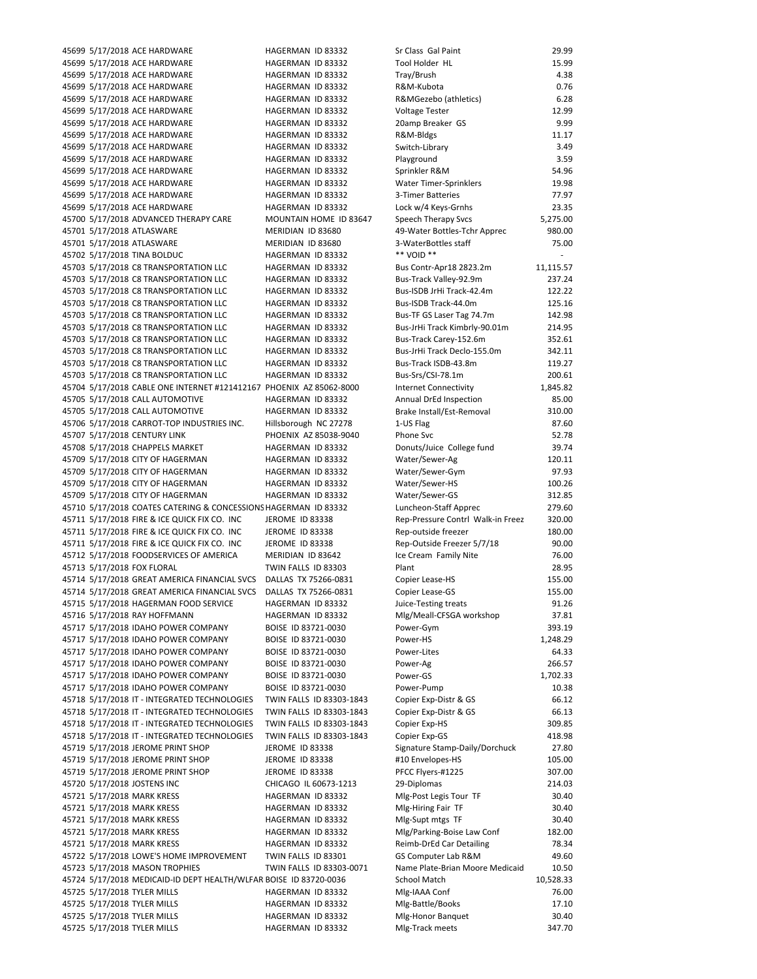45699 5/17/2018 ACE HARDWARE **HAGERMAN ID 83332** Sr Class Gal Paint 29.99 45699 5/17/2018 ACE HARDWARE **HAGERMAN ID 83332** 45699 5/17/2018 ACE HARDWARE HAGERMAN ID 83332 45699 5/17/2018 ACE HARDWARE HAGERMAN ID 83332 45699 5/17/2018 ACE HARDWARE HAGERMAN ID 83332 45699 5/17/2018 ACE HARDWARE HAGERMAN ID 83332 45699 5/17/2018 ACE HARDWARE HAGERMAN ID 83332 45699 5/17/2018 ACE HARDWARE HAGERMAN ID 83332 45699 5/17/2018 ACE HARDWARE HAGERMAN ID 83332 45699 5/17/2018 ACE HARDWARE HAGERMAN ID 83332 45699 5/17/2018 ACE HARDWARE HAGERMAN ID 83332 45699 5/17/2018 ACE HARDWARE HAGERMAN ID 83332 45699 5/17/2018 ACE HARDWARE HAGERMAN ID 83332 45699 5/17/2018 ACE HARDWARE HAGERMAN ID 83332 45700 5/17/2018 ADVANCED THERAPY CARE MOUNTAIN HOME ID 83647 45701 5/17/2018 ATLASWARE MERIDIAN ID 83680 45701 5/17/2018 ATLASWARE MERIDIAN ID 83680 45702 5/17/2018 TINA BOLDUC HAGERMAN ID 83332 45703 5/17/2018 C8 TRANSPORTATION LLC HAGERMAN ID 83332 45703 5/17/2018 C8 TRANSPORTATION LLC HAGERMAN ID 83332 45703 5/17/2018 C8 TRANSPORTATION LLC HAGERMAN ID 83332 45703 5/17/2018 C8 TRANSPORTATION LLC HAGERMAN ID 83332 45703 5/17/2018 C8 TRANSPORTATION LLC HAGERMAN ID 83332 45703 5/17/2018 C8 TRANSPORTATION LLC HAGERMAN ID 83332 45703 5/17/2018 C8 TRANSPORTATION LLC HAGERMAN ID 83332 45703 5/17/2018 C8 TRANSPORTATION LLC HAGERMAN ID 83332 45703 5/17/2018 C8 TRANSPORTATION LLC HAGERMAN ID 83332 45703 5/17/2018 C8 TRANSPORTATION LLC HAGERMAN ID 83332 45704 5/17/2018 CABLE ONE INTERNET #121412167 PHOENIX AZ 85062-8000 45705 5/17/2018 CALL AUTOMOTIVE **HAGERMAN ID 83332** 45705 5/17/2018 CALL AUTOMOTIVE HAGERMAN ID 83332 45706 5/17/2018 CARROT-TOP INDUSTRIES INC. Hillsborough NC 27278 45707 5/17/2018 CENTURY LINK PHOENIX AZ 85038-9040 45708 5/17/2018 CHAPPELS MARKET HAGERMAN ID 83332 45709 5/17/2018 CITY OF HAGERMAN **HAGERMAN ID 83332** 45709 5/17/2018 CITY OF HAGERMAN HAGERMAN ID 83332 45709 5/17/2018 CITY OF HAGERMAN **HAGERMAN ID 83332** 45709 5/17/2018 CITY OF HAGERMAN HAGERMAN ID 83332 45710 5/17/2018 COATES CATERING & CONCESSIONS HAGERMAN ID 83332 45711 5/17/2018 FIRE & ICE QUICK FIX CO. INC JEROME ID 83338 45711 5/17/2018 FIRE & ICE QUICK FIX CO. INC JEROME ID 83338 45711 5/17/2018 FIRE & ICE QUICK FIX CO. INC JEROME ID 83338 45712 5/17/2018 FOODSERVICES OF AMERICA MERIDIAN ID 83642 76.00 45713 5/17/2018 FOX FLORAL TWIN FALLS ID 83303 45714 5/17/2018 GREAT AMERICA FINANCIAL SVCS DALLAS TX 75266-0831 45714 5/17/2018 GREAT AMERICA FINANCIAL SVCS DALLAS TX 75266-0831 45715 5/17/2018 HAGERMAN FOOD SERVICE HAGERMAN ID 83332 45716 5/17/2018 RAY HOFFMANN HAGERMAN ID 83332 45717 5/17/2018 IDAHO POWER COMPANY BOISE ID 83721-0030 45717 5/17/2018 IDAHO POWER COMPANY BOISE ID 83721-0030 45717 5/17/2018 IDAHO POWER COMPANY BOISE ID 83721-0030 45717 5/17/2018 IDAHO POWER COMPANY BOISE ID 83721‐0030 266.57 45717 5/17/2018 IDAHO POWER COMPANY BOISE ID 83721-0030 45717 5/17/2018 IDAHO POWER COMPANY BOISE ID 83721-0030 45718 5/17/2018 IT ‐ INTEGRATED TECHNOLOGIES TWIN FALLS ID 83303‐1843 66.12 45718 5/17/2018 IT ‐ INTEGRATED TECHNOLOGIES TWIN FALLS ID 83303‐1843 66.13 45718 5/17/2018 IT ‐ INTEGRATED TECHNOLOGIES TWIN FALLS ID 83303‐1843 309.85 45718 5/17/2018 IT - INTEGRATED TECHNOLOGIES TWIN FALLS ID 83303-1843 45719 5/17/2018 JEROME PRINT SHOP JEROME ID 83338 45719 5/17/2018 JEROME PRINT SHOP JEROME ID 83338 45719 5/17/2018 JEROME PRINT SHOP JEROME ID 83338 45720 5/17/2018 JOSTENS INC CHICAGO IL 60673-1213 45721 5/17/2018 MARK KRESS HAGERMAN ID 83332 45721 5/17/2018 MARK KRESS HAGERMAN ID 83332 45721 5/17/2018 MARK KRESS HAGERMAN ID 83332 45721 5/17/2018 MARK KRESS HAGERMAN ID 83332 45721 5/17/2018 MARK KRESS HAGERMAN ID 83332 45722 5/17/2018 LOWE'S HOME IMPROVEMENT TWIN FALLS ID 83301 45723 5/17/2018 MASON TROPHIES TWIN FALLS ID 83303-0071 45724 5/17/2018 MEDICAID-ID DEPT HEALTH/WLFAR BOISE ID 83720-0036 45725 5/17/2018 TYLER MILLS HAGERMAN ID 83332 45725 5/17/2018 TYLER MILLS HAGERMAN ID 83332 45725 5/17/2018 TYLER MILLS HAGERMAN ID 83332 45725 5/17/2018 TYLER MILLS HAGERMAN ID 83332

| Sr Class Gal Paint                                         | 29.99             |
|------------------------------------------------------------|-------------------|
| Tool Holder HL                                             | 15.99             |
| Tray/Brush                                                 | 4.38              |
| R&M-Kubota<br>R&MGezebo (athletics)                        | 0.76<br>6.28      |
| <b>Voltage Tester</b>                                      | 12.99             |
| 20amp Breaker GS                                           | 9.99              |
| R&M-Bldgs                                                  | 11.17             |
| Switch-Library                                             | 3.49              |
| Playground                                                 | 3.59              |
| Sprinkler R&M<br><b>Water Timer-Sprinklers</b>             | 54.96<br>19.98    |
| 3-Timer Batteries                                          | 77.97             |
| Lock w/4 Keys-Grnhs                                        | 23.35             |
| <b>Speech Therapy Svcs</b>                                 | 5,275.00          |
| 49-Water Bottles-Tchr Apprec                               | 980.00            |
| 3-WaterBottles staff<br>** VOID **                         | 75.00             |
| Bus Contr-Apr18 2823.2m                                    | i,<br>11,115.57   |
| Bus-Track Valley-92.9m                                     | 237.24            |
| Bus-ISDB JrHi Track-42.4m                                  | 122.22            |
| Bus-ISDB Track-44.0m                                       | 125.16            |
| Bus-TF GS Laser Tag 74.7m                                  | 142.98            |
| Bus-JrHi Track Kimbrly-90.01m                              | 214.95            |
| Bus-Track Carey-152.6m<br>Bus-JrHi Track Declo-155.0m      | 352.61<br>342.11  |
| Bus-Track ISDB-43.8m                                       | 119.27            |
| Bus-Srs/CSI-78.1m                                          | 200.61            |
| <b>Internet Connectivity</b>                               | 1,845.82          |
| Annual DrEd Inspection                                     | 85.00             |
| Brake Install/Est-Removal                                  | 310.00            |
| 1-US Flag<br>Phone Svc                                     | 87.60<br>52.78    |
| Donuts/Juice College fund                                  | 39.74             |
| Water/Sewer-Ag                                             | 120.11            |
| Water/Sewer-Gym                                            | 97.93             |
| Water/Sewer-HS                                             | 100.26            |
| Water/Sewer-GS                                             | 312.85            |
| Luncheon-Staff Apprec<br>Rep-Pressure Contrl Walk-in Freez | 279.60<br>320.00  |
| Rep-outside freezer                                        | 180.00            |
| Rep-Outside Freezer 5/7/18                                 | 90.00             |
| Ice Cream Family Nite                                      | 76.00             |
| Plant                                                      | 28.95             |
| Copier Lease-HS                                            | 155.00<br>155.00  |
| Copier Lease-GS<br>Juice-Testing treats                    | 91.26             |
| Mlg/Meall-CFSGA workshop                                   | 37.81             |
| Power-Gym                                                  | 393.19            |
| Power-HS                                                   | 1,248.29          |
| Power-Lites                                                | 64.33             |
| Power-Ag<br>Power-GS                                       | 266.57            |
| Power-Pump                                                 | 1,702.33<br>10.38 |
| Copier Exp-Distr & GS                                      | 66.12             |
| Copier Exp-Distr & GS                                      | 66.13             |
| Copier Exp-HS                                              | 309.85            |
| Copier Exp-GS                                              | 418.98            |
| Signature Stamp-Daily/Dorchuck                             | 27.80             |
| #10 Envelopes-HS<br>PFCC Flyers-#1225                      | 105.00<br>307.00  |
| 29-Diplomas                                                | 214.03            |
| Mlg-Post Legis Tour TF                                     | 30.40             |
| Mlg-Hiring Fair TF                                         | 30.40             |
| Mlg-Supt mtgs TF                                           | 30.40             |
| Mlg/Parking-Boise Law Conf                                 | 182.00            |
| Reimb-DrEd Car Detailing<br>GS Computer Lab R&M            | 78.34<br>49.60    |
| Name Plate-Brian Moore Medicaid                            | 10.50             |
| <b>School Match</b>                                        | 10,528.33         |
| Mlg-IAAA Conf                                              | 76.00             |
| Mlg-Battle/Books                                           | 17.10             |
| Mlg-Honor Banquet                                          | 30.40             |
| Mlg-Track meets                                            | 347.70            |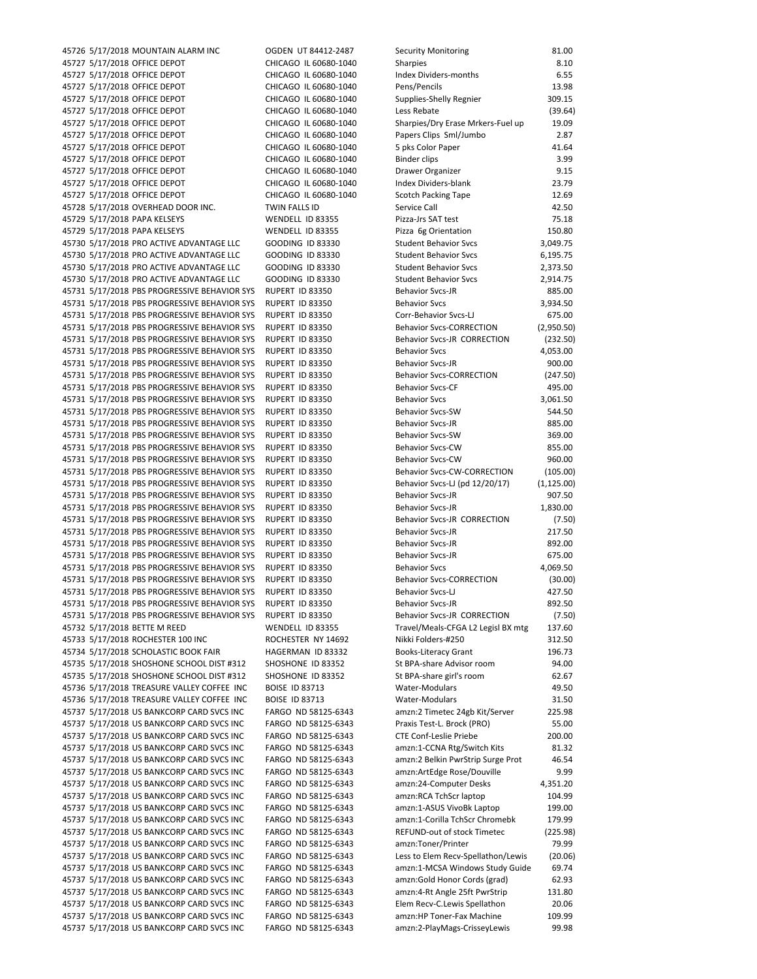45726 5/17/2018 MOUNTAIN ALARM INC OGDEN UT 84412‐2487 Security Monitoring 81.00 45727 5/17/2018 OFFICE DEPOT CHICAGO IL 60680-1040 Sharp 8.1010 45727 5/17/2018 OFFICE DEPOT CHICAGO IL 60680-1040 In 45727 5/17/2018 OFFICE DEPOT CHICAGO IL 60680-1040 P 45727 5/17/2018 OFFICE DEPOT CHICAGO IL 60680-1040 Supplies 45727 5/17/2018 OFFICE DEPOT CHICAGO IL 60680-1040 Le 45727 5/17/2018 OFFICE DEPOT CHICAGO IL 60680-1040 SI 45727 5/17/2018 OFFICE DEPOT CHICAGO IL 60680-1040 P 45727 5/17/2018 OFFICE DEPOT CHICAGO IL 60680-1040 5 45727 5/17/2018 OFFICE DEPOT CHICAGO IL 60680-1040 B 45727 5/17/2018 OFFICE DEPOT CHICAGO IL 60680-1040 D 45727 5/17/2018 OFFICE DEPOT CHICAGO IL 60680-1040 In 45727 5/17/2018 OFFICE DEPOT CHICAGO IL 60680-1040 S 45728 5/17/2018 OVERHEAD DOOR INC. TWIN FALLS ID SI 45729 5/17/2018 PAPA KELSEYS WENDELL ID 83355 P 45729 5/17/2018 PAPA KELSEYS WENDELL ID 83355 P 45730 5/17/2018 PRO ACTIVE ADVANTAGE LLC GOODING ID 83330 Student 45730 5/17/2018 PRO ACTIVE ADVANTAGE LLC GOODING ID 83330 St 45730 5/17/2018 PRO ACTIVE ADVANTAGE LLC GOODING ID 83330 St 45730 5/17/2018 PRO ACTIVE ADVANTAGE LLC GOODING ID 83330 St 45731 5/17/2018 PBS PROGRESSIVE BEHAVIOR SYS RUPERT ID 83350 B 45731 5/17/2018 PBS PROGRESSIVE BEHAVIOR SYS RUPERT ID 83350 B 45731 5/17/2018 PBS PROGRESSIVE BEHAVIOR SYS RUPERT ID 83350 Co 45731 5/17/2018 PBS PROGRESSIVE BEHAVIOR SYS RUPERT ID 83350 Behavior School (2,950.50) 45731 5/17/2018 PBS PROGRESSIVE BEHAVIOR SYS RUPERT ID 83350 B 45731 5/17/2018 PBS PROGRESSIVE BEHAVIOR SYS RUPERT ID 83350 B 45731 5/17/2018 PBS PROGRESSIVE BEHAVIOR SYS RUPERT ID 83350 B 45731 5/17/2018 PBS PROGRESSIVE BEHAVIOR SYS RUPERT ID 83350 B 45731 5/17/2018 PBS PROGRESSIVE BEHAVIOR SYS RUPERT ID 83350 B 45731 5/17/2018 PBS PROGRESSIVE BEHAVIOR SYS RUPERT ID 83350 Behavior School Set 45731 5/17/2018 PBS PROGRESSIVE BEHAVIOR SYS RUPERT ID 83350 Behavior States 45731 5/17/2018 PBS PROGRESSIVE BEHAVIOR SYS RUPERT ID 83350 B 45731 5/17/2018 PBS PROGRESSIVE BEHAVIOR SYS RUPERT ID 83350 Behavior States 45731 5/17/2018 PBS PROGRESSIVE BEHAVIOR SYS RUPERT ID 83350 B 45731 5/17/2018 PBS PROGRESSIVE BEHAVIOR SYS RUPERT ID 83350 B 45731 5/17/2018 PBS PROGRESSIVE BEHAVIOR SYS RUPERT ID 83350 Behavior Super 45731 5/17/2018 PBS PROGRESSIVE BEHAVIOR SYS RUPERT ID 83350 Behavior School (pdf 12/2018) (pdf 12/20 45731 5/17/2018 PBS PROGRESSIVE BEHAVIOR SYS RUPERT ID 83350 B 45731 5/17/2018 PBS PROGRESSIVE BEHAVIOR SYS RUPERT ID 83350 B 45731 5/17/2018 PBS PROGRESSIVE BEHAVIOR SYS RUPERT ID 83350 B 45731 5/17/2018 PBS PROGRESSIVE BEHAVIOR SYS RUPERT ID 83350 B 45731 5/17/2018 PBS PROGRESSIVE BEHAVIOR SYS RUPERT ID 83350 B 45731 5/17/2018 PBS PROGRESSIVE BEHAVIOR SYS RUPERT ID 83350 Behavior School of Be 45731 5/17/2018 PBS PROGRESSIVE BEHAVIOR SYS RUPERT ID 83350 Behavior School Set 45731 5/17/2018 PBS PROGRESSIVE BEHAVIOR SYS RUPERT ID 83350 Behavior Scott 45731 5/17/2018 PBS PROGRESSIVE BEHAVIOR SYS RUPERT ID 83350 B 45731 5/17/2018 PBS PROGRESSIVE BEHAVIOR SYS RUPERT ID 83350 B 45731 5/17/2018 PBS PROGRESSIVE BEHAVIOR SYS RUPERT ID 83350 Behavior School (2001) 45732 5/17/2018 BETTE M REED WENDELL ID 83355 Travel 45733 5/17/2018 ROCHESTER 100 INC ROCHESTER NY 14692 N 45734 5/17/2018 SCHOLASTIC BOOK FAIR HAGERMAN ID 83332 B 45735 5/17/2018 SHOSHONE SCHOOL DIST #312 SHOSHONE ID 83352 St 45735 5/17/2018 SHOSHONE SCHOOL DIST #312 SHOSHONE ID 83352 Si 45736 5/17/2018 TREASURE VALLEY COFFEE INC BOISE ID 83713 W 45736 5/17/2018 TREASURE VALLEY COFFEE INC BOISE ID 83713 WATER 45737 5/17/2018 US BANKCORP CARD SVCS INC FARGO ND 58125-6343 am 45737 5/17/2018 US BANKCORP CARD SVCS INC FARGO ND 58125-6343 P 45737 5/17/2018 US BANKCORP CARD SVCS INC FARGO ND 58125-6343 C 45737 5/17/2018 US BANKCORP CARD SVCS INC FARGO ND 58125-6343 am 45737 5/17/2018 US BANKCORP CARD SVCS INC FARGO ND 58125-6343 am 45737 5/17/2018 US BANKCORP CARD SVCS INC FARGO ND 58125-6343 am 45737 5/17/2018 US BANKCORP CARD SVCS INC FARGO ND 58125-6343 am 45737 5/17/2018 US BANKCORP CARD SVCS INC FARGO ND 58125-6343 am 45737 5/17/2018 US BANKCORP CARD SVCS INC FARGO ND 58125-6343 am 45737 5/17/2018 US BANKCORP CARD SVCS INC FARGO ND 58125-6343 am 45737 5/17/2018 US BANKCORP CARD SVCS INC FARGO ND 58125-6343 R 45737 5/17/2018 US BANKCORP CARD SVCS INC FARGO ND 58125-6343 45737 5/17/2018 US BANKCORP CARD SVCS INC FARGO ND 58125-6343 Le 45737 5/17/2018 US BANKCORP CARD SVCS INC FARGO ND 58125-6343 am 45737 5/17/2018 US BANKCORP CARD SVCS INC FARGO ND 58125-6343 am 45737 5/17/2018 US BANKCORP CARD SVCS INC FARGO ND 58125-6343 am 45737 5/17/2018 US BANKCORP CARD SVCS INC FARGO ND 58125-6343 E 45737 5/17/2018 US BANKCORP CARD SVCS INC FARGO ND 58125-6343 am 45737 5/17/2018 US BANKCORP CARD SVCS INC FARGO ND 58125-6343 am

| ecurity Monitoring                         | 81.00              |
|--------------------------------------------|--------------------|
| harpies<br>dex Dividers-months             | 8.10<br>6.55       |
| ens/Pencils                                | 13.98              |
| upplies-Shelly Regnier                     | 309.15             |
| ess Rebate                                 | (39.64)            |
| harpies/Dry Erase Mrkers-Fuel up           | 19.09              |
| apers Clips Sml/Jumbo                      | 2.87               |
| pks Color Paper                            | 41.64              |
| inder clips                                | 3.99               |
| rawer Organizer                            | 9.15               |
| dex Dividers-blank                         | 23.79              |
| cotch Packing Tape                         | 12.69              |
| ervice Call                                | 42.50              |
| izza-Jrs SAT test                          | 75.18              |
| izza 6g Orientation                        | 150.80             |
| tudent Behavior Svcs                       | 3,049.75           |
| tudent Behavior Svcs                       | 6,195.75           |
| tudent Behavior Svcs                       | 2,373.50           |
| tudent Behavior Svcs                       | 2,914.75           |
| ehavior Svcs-JR                            | 885.00             |
| ehavior Svcs                               | 3,934.50           |
| orr-Behavior Svcs-LJ                       | 675.00             |
| ehavior Svcs-CORRECTION                    | (2,950.50)         |
| ehavior Svcs-JR CORRECTION                 | (232.50)           |
| ehavior Svcs                               | 4,053.00           |
| ehavior Svcs-JR                            | 900.00             |
| ehavior Svcs-CORRECTION<br>ehavior Svcs-CF | (247.50)<br>495.00 |
| ehavior Svcs                               |                    |
| ehavior Svcs-SW                            | 3,061.50<br>544.50 |
| ehavior Svcs-JR                            | 885.00             |
| ehavior Svcs-SW                            | 369.00             |
| ehavior Svcs-CW                            | 855.00             |
| ehavior Svcs-CW                            | 960.00             |
| ehavior Svcs-CW-CORRECTION                 | (105.00)           |
| ehavior Svcs-LJ (pd 12/20/17)              | (1, 125.00)        |
| ehavior Svcs-JR                            | 907.50             |
| ehavior Svcs-JR                            | 1,830.00           |
| ehavior Svcs-JR CORRECTION                 | (7.50)             |
| ehavior Svcs-JR                            | 217.50             |
| ehavior Svcs-JR                            | 892.00             |
| ehavior Svcs-JR                            | 675.00             |
| ehavior Svcs                               | 4,069.50           |
| ehavior Svcs-CORRECTION                    | (30.00)            |
| ehavior Svcs-LJ                            | 427.50             |
| ehavior Svcs-JR                            | 892.50             |
| ehavior Svcs-JR CORRECTION                 | (7.50)             |
| ravel/Meals-CFGA L2 Legisl BX mtg          | 137.60             |
| ikki Folders-#250                          | 312.50             |
| ooks-Literacy Grant                        | 196.73             |
| <b>BPA-share Advisor room</b>              | 94.00              |
| <b>BPA-share girl's room</b>               | 62.67              |
| /ater-Modulars<br>/ater-Modulars           | 49.50<br>31.50     |
| mzn:2 Timetec 24gb Kit/Server              | 225.98             |
| raxis Test-L. Brock (PRO)                  | 55.00              |
| TE Conf-Leslie Priebe                      | 200.00             |
| mzn:1-CCNA Rtg/Switch Kits                 | 81.32              |
| mzn:2 Belkin PwrStrip Surge Prot           | 46.54              |
| mzn:ArtEdge Rose/Douville                  | 9.99               |
| mzn:24-Computer Desks                      | 4,351.20           |
| mzn:RCA TchScr laptop                      | 104.99             |
| mzn:1-ASUS VivoBk Laptop                   | 199.00             |
| mzn:1-Corilla TchScr Chromebk              | 179.99             |
| EFUND-out of stock Timetec                 | (225.98)           |
| mzn:Toner/Printer                          | 79.99              |
| ess to Elem Recv-Spellathon/Lewis          | (20.06)            |
| mzn:1-MCSA Windows Study Guide             | 69.74              |
| mzn:Gold Honor Cords (grad)                | 62.93              |
| mzn:4-Rt Angle 25ft PwrStrip               | 131.80             |
| lem Recv-C.Lewis Spellathon                | 20.06              |
| mzn:HP Toner-Fax Machine                   | 109.99             |
| mzn:2-PlayMags-CrisseyLewis                | 99.98              |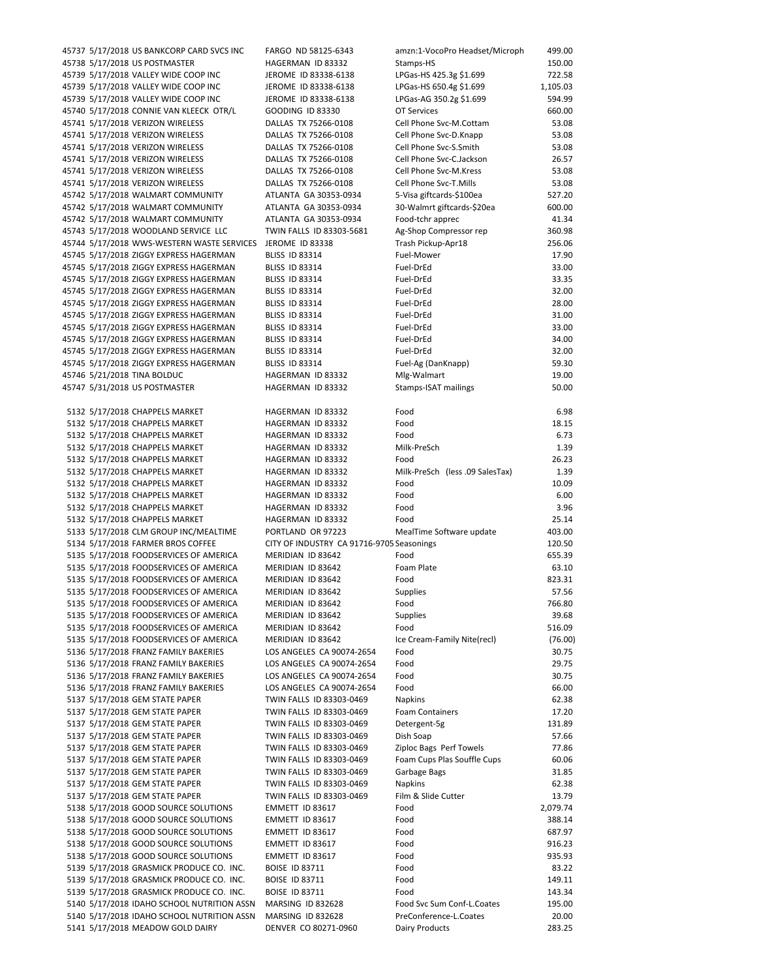| 45737 5/17/2018 US BANKCORP CARD SVCS INC                              | FARGO ND 58125-6343                                  | amzn:1-VocoPro Headset/Microph         | 499.00            |
|------------------------------------------------------------------------|------------------------------------------------------|----------------------------------------|-------------------|
| 45738 5/17/2018 US POSTMASTER                                          | HAGERMAN ID 83332                                    | Stamps-HS                              | 150.00            |
| 45739 5/17/2018 VALLEY WIDE COOP INC                                   | JEROME ID 83338-6138                                 | LPGas-HS 425.3g \$1.699                | 722.58            |
| 45739 5/17/2018 VALLEY WIDE COOP INC                                   | JEROME ID 83338-6138                                 | LPGas-HS 650.4g \$1.699                | 1,105.03          |
| 45739 5/17/2018 VALLEY WIDE COOP INC                                   | JEROME ID 83338-6138                                 | LPGas-AG 350.2g \$1.699                | 594.99            |
| 45740 5/17/2018 CONNIE VAN KLEECK OTR/L                                | GOODING ID 83330                                     | <b>OT Services</b>                     | 660.00            |
| 45741 5/17/2018 VERIZON WIRELESS                                       | DALLAS TX 75266-0108                                 | Cell Phone Svc-M.Cottam                | 53.08             |
| 45741 5/17/2018 VERIZON WIRELESS                                       | DALLAS TX 75266-0108                                 | Cell Phone Svc-D.Knapp                 | 53.08             |
| 45741 5/17/2018 VERIZON WIRELESS                                       | DALLAS TX 75266-0108                                 | Cell Phone Svc-S.Smith                 | 53.08             |
| 45741 5/17/2018 VERIZON WIRELESS                                       | DALLAS TX 75266-0108                                 | Cell Phone Svc-C.Jackson               | 26.57             |
| 45741 5/17/2018 VERIZON WIRELESS                                       | DALLAS TX 75266-0108                                 | Cell Phone Svc-M.Kress                 | 53.08             |
| 45741 5/17/2018 VERIZON WIRELESS                                       | DALLAS TX 75266-0108                                 | Cell Phone Svc-T.Mills                 | 53.08             |
| 45742 5/17/2018 WALMART COMMUNITY                                      | ATLANTA GA 30353-0934                                | 5-Visa giftcards-\$100ea               | 527.20            |
| 45742 5/17/2018 WALMART COMMUNITY                                      | ATLANTA GA 30353-0934                                | 30-Walmrt giftcards-\$20ea             | 600.00            |
| 45742 5/17/2018 WALMART COMMUNITY                                      | ATLANTA GA 30353-0934                                | Food-tchr apprec                       | 41.34             |
| 45743 5/17/2018 WOODLAND SERVICE LLC                                   | TWIN FALLS ID 83303-5681                             | Ag-Shop Compressor rep                 | 360.98            |
| 45744 5/17/2018 WWS-WESTERN WASTE SERVICES                             | JEROME ID 83338                                      | Trash Pickup-Apr18                     | 256.06            |
| 45745 5/17/2018 ZIGGY EXPRESS HAGERMAN                                 | <b>BLISS ID 83314</b>                                | Fuel-Mower                             | 17.90             |
| 45745 5/17/2018 ZIGGY EXPRESS HAGERMAN                                 | <b>BLISS ID 83314</b>                                | Fuel-DrEd                              | 33.00             |
| 45745 5/17/2018 ZIGGY EXPRESS HAGERMAN                                 | <b>BLISS ID 83314</b>                                | Fuel-DrEd                              | 33.35             |
| 45745 5/17/2018 ZIGGY EXPRESS HAGERMAN                                 | <b>BLISS ID 83314</b>                                | Fuel-DrEd                              | 32.00             |
| 45745 5/17/2018 ZIGGY EXPRESS HAGERMAN                                 | <b>BLISS ID 83314</b>                                | Fuel-DrEd                              | 28.00             |
| 45745 5/17/2018 ZIGGY EXPRESS HAGERMAN                                 | <b>BLISS ID 83314</b>                                | Fuel-DrEd                              | 31.00             |
| 45745 5/17/2018 ZIGGY EXPRESS HAGERMAN                                 | <b>BLISS ID 83314</b>                                | Fuel-DrEd                              | 33.00             |
| 45745 5/17/2018 ZIGGY EXPRESS HAGERMAN                                 | <b>BLISS ID 83314</b>                                | Fuel-DrEd                              | 34.00             |
| 45745 5/17/2018 ZIGGY EXPRESS HAGERMAN                                 | <b>BLISS ID 83314</b>                                | Fuel-DrEd                              | 32.00             |
| 45745 5/17/2018 ZIGGY EXPRESS HAGERMAN                                 | <b>BLISS ID 83314</b>                                | Fuel-Ag (DanKnapp)                     | 59.30             |
| 45746 5/21/2018 TINA BOLDUC                                            | HAGERMAN ID 83332                                    | Mlg-Walmart                            | 19.00             |
| 45747 5/31/2018 US POSTMASTER                                          | HAGERMAN ID 83332                                    | Stamps-ISAT mailings                   | 50.00             |
|                                                                        |                                                      |                                        |                   |
| 5132 5/17/2018 CHAPPELS MARKET                                         | HAGERMAN ID 83332                                    | Food                                   | 6.98              |
| 5132 5/17/2018 CHAPPELS MARKET                                         | HAGERMAN ID 83332                                    | Food                                   | 18.15             |
| 5132 5/17/2018 CHAPPELS MARKET                                         | HAGERMAN ID 83332                                    | Food                                   | 6.73              |
| 5132 5/17/2018 CHAPPELS MARKET                                         | HAGERMAN ID 83332                                    | Milk-PreSch                            | 1.39              |
| 5132 5/17/2018 CHAPPELS MARKET                                         | HAGERMAN ID 83332                                    | Food                                   | 26.23             |
| 5132 5/17/2018 CHAPPELS MARKET                                         | HAGERMAN ID 83332                                    | Milk-PreSch (less .09 SalesTax)        | 1.39              |
| 5132 5/17/2018 CHAPPELS MARKET                                         | HAGERMAN ID 83332                                    | Food                                   | 10.09             |
| 5132 5/17/2018 CHAPPELS MARKET                                         | HAGERMAN ID 83332                                    | Food                                   | 6.00              |
| 5132 5/17/2018 CHAPPELS MARKET                                         | HAGERMAN ID 83332                                    | Food                                   | 3.96              |
| 5132 5/17/2018 CHAPPELS MARKET                                         | HAGERMAN ID 83332                                    | Food                                   | 25.14             |
| 5133 5/17/2018 CLM GROUP INC/MEALTIME                                  | PORTLAND OR 97223                                    | MealTime Software update               | 403.00            |
| 5134 5/17/2018 FARMER BROS COFFEE                                      | CITY OF INDUSTRY CA 91716-9705 Seasonings            |                                        | 120.50            |
| 5135 5/17/2018 FOODSERVICES OF AMERICA                                 | MERIDIAN ID 83642                                    | Food                                   | 655.39            |
| 5135 5/17/2018 FOODSERVICES OF AMERICA                                 | MERIDIAN ID 83642                                    | Foam Plate                             | 63.10             |
| 5135 5/17/2018 FOODSERVICES OF AMERICA                                 | MERIDIAN ID 83642                                    | Food                                   | 823.31            |
| 5135 5/17/2018 FOODSERVICES OF AMERICA                                 | MERIDIAN ID 83642                                    | <b>Supplies</b>                        | 57.56             |
| 5135 5/17/2018 FOODSERVICES OF AMERICA                                 | MERIDIAN ID 83642                                    | Food                                   | 766.80            |
| 5135 5/17/2018 FOODSERVICES OF AMERICA                                 | MERIDIAN ID 83642                                    | Supplies                               | 39.68             |
| 5135 5/17/2018 FOODSERVICES OF AMERICA                                 | MERIDIAN ID 83642                                    | Food                                   | 516.09            |
| 5135 5/17/2018 FOODSERVICES OF AMERICA                                 | MERIDIAN ID 83642                                    | Ice Cream-Family Nite(recl)            | (76.00)           |
| 5136 5/17/2018 FRANZ FAMILY BAKERIES                                   | LOS ANGELES CA 90074-2654                            | Food                                   | 30.75             |
| 5136 5/17/2018 FRANZ FAMILY BAKERIES                                   | LOS ANGELES CA 90074-2654                            | Food                                   | 29.75             |
| 5136 5/17/2018 FRANZ FAMILY BAKERIES                                   | LOS ANGELES CA 90074-2654                            | Food                                   | 30.75             |
| 5136 5/17/2018 FRANZ FAMILY BAKERIES<br>5137 5/17/2018 GEM STATE PAPER | LOS ANGELES CA 90074-2654                            | Food                                   | 66.00             |
|                                                                        | TWIN FALLS ID 83303-0469                             | <b>Napkins</b>                         | 62.38             |
| 5137 5/17/2018 GEM STATE PAPER<br>5137 5/17/2018 GEM STATE PAPER       | TWIN FALLS ID 83303-0469                             | <b>Foam Containers</b><br>Detergent-5g | 17.20             |
| 5137 5/17/2018 GEM STATE PAPER                                         | TWIN FALLS ID 83303-0469                             | Dish Soap                              | 131.89            |
| 5137 5/17/2018 GEM STATE PAPER                                         | TWIN FALLS ID 83303-0469<br>TWIN FALLS ID 83303-0469 | Ziploc Bags Perf Towels                | 57.66<br>77.86    |
|                                                                        | TWIN FALLS ID 83303-0469                             | Foam Cups Plas Souffle Cups            |                   |
| 5137 5/17/2018 GEM STATE PAPER<br>5137 5/17/2018 GEM STATE PAPER       | TWIN FALLS ID 83303-0469                             | Garbage Bags                           | 60.06             |
| 5137 5/17/2018 GEM STATE PAPER                                         | TWIN FALLS ID 83303-0469                             | <b>Napkins</b>                         | 31.85<br>62.38    |
|                                                                        |                                                      |                                        |                   |
| 5137 5/17/2018 GEM STATE PAPER<br>5138 5/17/2018 GOOD SOURCE SOLUTIONS | TWIN FALLS ID 83303-0469<br>EMMETT ID 83617          | Film & Slide Cutter<br>Food            | 13.79<br>2,079.74 |
| 5138 5/17/2018 GOOD SOURCE SOLUTIONS                                   | EMMETT ID 83617                                      | Food                                   | 388.14            |
| 5138 5/17/2018 GOOD SOURCE SOLUTIONS                                   | EMMETT ID 83617                                      | Food                                   | 687.97            |
| 5138 5/17/2018 GOOD SOURCE SOLUTIONS                                   | EMMETT ID 83617                                      | Food                                   | 916.23            |
| 5138 5/17/2018 GOOD SOURCE SOLUTIONS                                   | EMMETT ID 83617                                      | Food                                   | 935.93            |
| 5139 5/17/2018 GRASMICK PRODUCE CO. INC.                               | <b>BOISE ID 83711</b>                                | Food                                   | 83.22             |
| 5139 5/17/2018 GRASMICK PRODUCE CO. INC.                               | <b>BOISE ID 83711</b>                                | Food                                   | 149.11            |
| 5139 5/17/2018 GRASMICK PRODUCE CO. INC.                               | <b>BOISE ID 83711</b>                                | Food                                   | 143.34            |
| 5140 5/17/2018 IDAHO SCHOOL NUTRITION ASSN                             | <b>MARSING ID 832628</b>                             | Food Svc Sum Conf-L.Coates             | 195.00            |
| 5140 5/17/2018 IDAHO SCHOOL NUTRITION ASSN                             | <b>MARSING ID 832628</b>                             | PreConference-L.Coates                 | 20.00             |
| 5141 5/17/2018 MEADOW GOLD DAIRY                                       | DENVER CO 80271-0960                                 | Dairy Products                         | 283.25            |
|                                                                        |                                                      |                                        |                   |